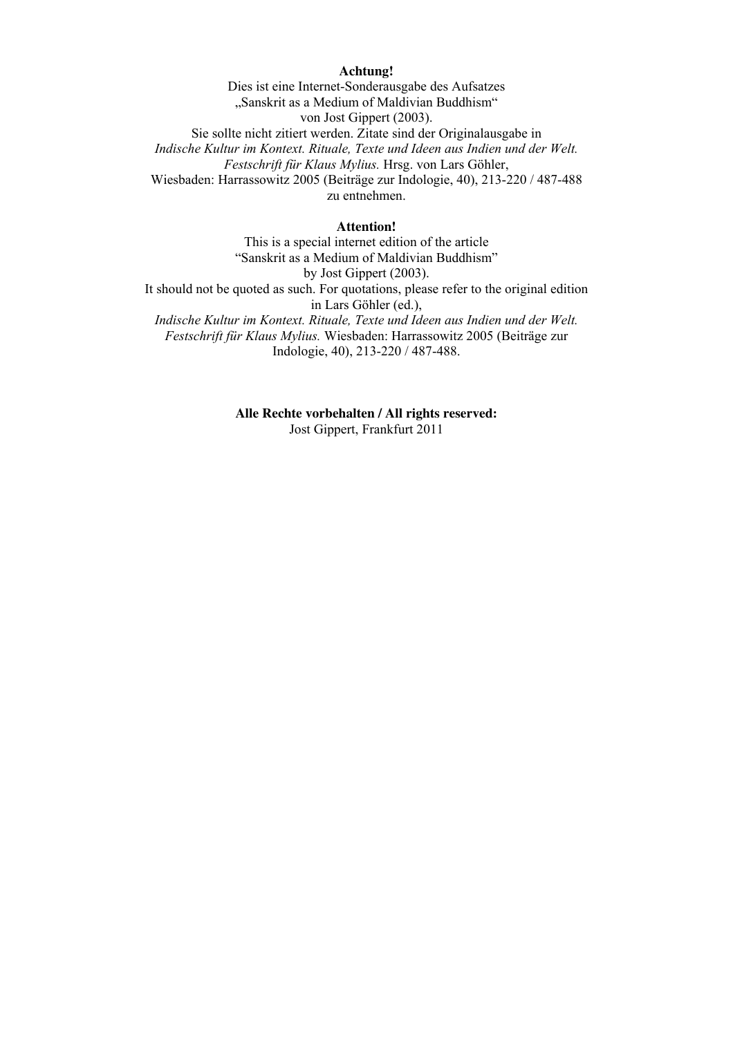### **Achtung!**

Dies ist eine Internet-Sonderausgabe des Aufsatzes "Sanskrit as a Medium of Maldivian Buddhism" von Jost Gippert (2003). Sie sollte nicht zitiert werden. Zitate sind der Originalausgabe in *Indische Kultur im Kontext. Rituale, Texte und Ideen aus Indien und der Welt. Festschrift für Klaus Mylius.* Hrsg. von Lars Göhler, Wiesbaden: Harrassowitz 2005 (Beiträge zur Indologie, 40), 213-220 / 487-488 zu entnehmen.

## **Attention!**

This is a special internet edition of the article "Sanskrit as a Medium of Maldivian Buddhism" by Jost Gippert (2003). It should not be quoted as such. For quotations, please refer to the original edition in Lars Göhler (ed.), *Indische Kultur im Kontext. Rituale, Texte und Ideen aus Indien und der Welt. Festschrift für Klaus Mylius.* Wiesbaden: Harrassowitz 2005 (Beiträge zur Indologie, 40), 213-220 / 487-488.

> **Alle Rechte vorbehalten / All rights reserved:** Jost Gippert, Frankfurt 2011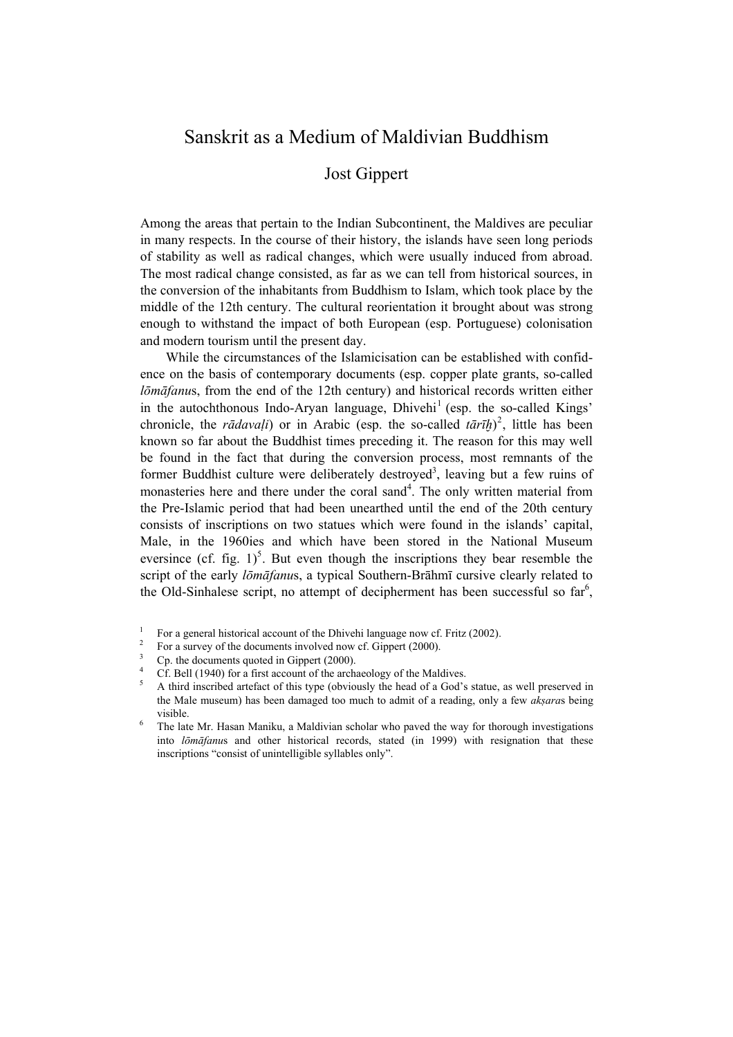## Sanskrit as a Medium of Maldivian Buddhism

## Jost Gippert

Among the areas that pertain to the Indian Subcontinent, the Maldives are peculiar in many respects. In the course of their history, the islands have seen long periods of stability as well as radical changes, which were usually induced from abroad. The most radical change consisted, as far as we can tell from historical sources, in the conversion of the inhabitants from Buddhism to Islam, which took place by the middle of the 12th century. The cultural reorientation it brought about was strong enough to withstand the impact of both European (esp. Portuguese) colonisation and modern tourism until the present day.

 While the circumstances of the Islamicisation can be established with confidence on the basis of contemporary documents (esp. copper plate grants, so-called *lōmāfanu*s, from the end of the 12th century) and historical records written either in the autochthonous Indo-Aryan language,  $Dhivehi<sup>1</sup>$  (esp. the so-called Kings' chronicle, the *r* $\bar{a}daval$ *i*) or in Arabic (esp. the so-called  $\bar{t}$ *arih*)<sup>2</sup>, little has been known so far about the Buddhist times preceding it. The reason for this may well be found in the fact that during the conversion process, most remnants of the former Buddhist culture were deliberately destroyed<sup>3</sup>, leaving but a few ruins of monasteries here and there under the coral sand<sup>4</sup>. The only written material from the Pre-Islamic period that had been unearthed until the end of the 20th century consists of inscriptions on two statues which were found in the islands' capital, Male, in the 1960ies and which have been stored in the National Museum eversince (cf. fig.  $1$ )<sup>5</sup>. But even though the inscriptions they bear resemble the script of the early *lōmāfanu*s, a typical Southern-Brāhmī cursive clearly related to the Old-Sinhalese script, no attempt of decipherment has been successful so  $far<sup>6</sup>$ ,

<sup>1</sup> For a general historical account of the Dhivehi language now cf. Fritz (2002).

<sup>2</sup> For a survey of the documents involved now cf. Gippert (2000).

<sup>3</sup> Cp. the documents quoted in Gippert (2000).

<sup>4</sup> Cf. Bell (1940) for a first account of the archaeology of the Maldives.

<sup>5</sup> A third inscribed artefact of this type (obviously the head of a God's statue, as well preserved in the Male museum) has been damaged too much to admit of a reading, only a few *akṣara*s being visible.

<sup>6</sup> The late Mr. Hasan Maniku, a Maldivian scholar who paved the way for thorough investigations into *lōmāfanu*s and other historical records, stated (in 1999) with resignation that these inscriptions "consist of unintelligible syllables only".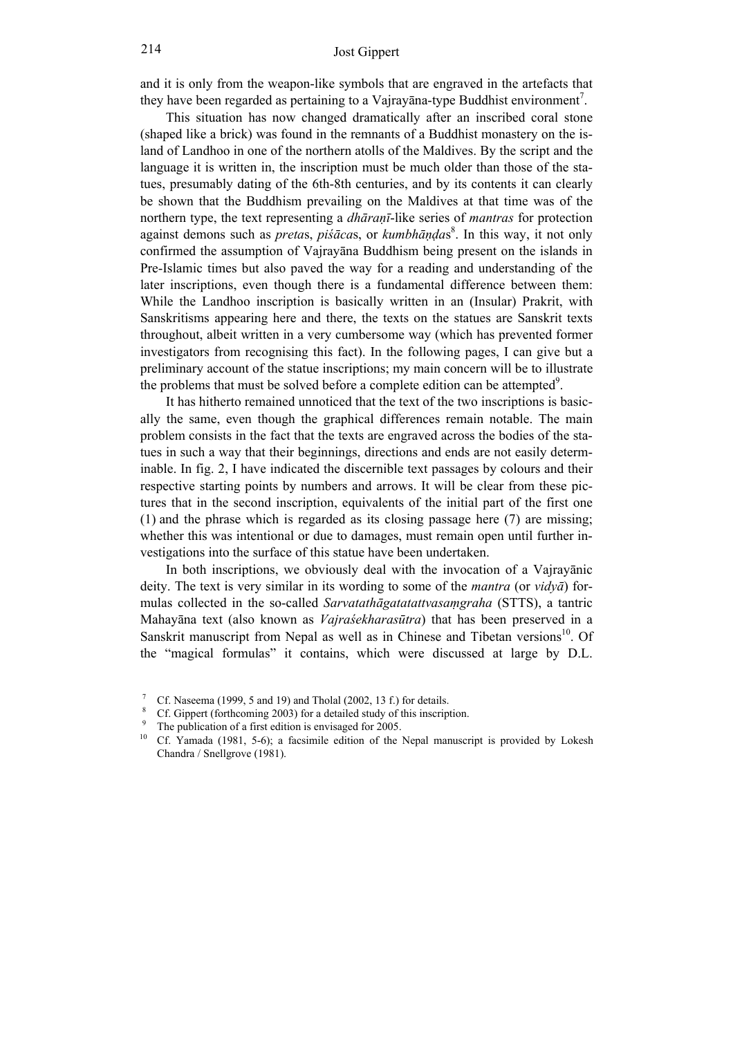and it is only from the weapon-like symbols that are engraved in the artefacts that they have been regarded as pertaining to a Vajrayana-type Buddhist environment<sup>7</sup>.

 This situation has now changed dramatically after an inscribed coral stone (shaped like a brick) was found in the remnants of a Buddhist monastery on the island of Landhoo in one of the northern atolls of the Maldives. By the script and the language it is written in, the inscription must be much older than those of the statues, presumably dating of the 6th-8th centuries, and by its contents it can clearly be shown that the Buddhism prevailing on the Maldives at that time was of the northern type, the text representing a *dhāraṇī*-like series of *mantras* for protection against demons such as *preta*s, *piśāca*s, or *kumbhāṇḍa*s 8 . In this way, it not only confirmed the assumption of Vajrayāna Buddhism being present on the islands in Pre-Islamic times but also paved the way for a reading and understanding of the later inscriptions, even though there is a fundamental difference between them: While the Landhoo inscription is basically written in an (Insular) Prakrit, with Sanskritisms appearing here and there, the texts on the statues are Sanskrit texts throughout, albeit written in a very cumbersome way (which has prevented former investigators from recognising this fact). In the following pages, I can give but a preliminary account of the statue inscriptions; my main concern will be to illustrate the problems that must be solved before a complete edition can be attempted<sup>9</sup>.

 It has hitherto remained unnoticed that the text of the two inscriptions is basically the same, even though the graphical differences remain notable. The main problem consists in the fact that the texts are engraved across the bodies of the statues in such a way that their beginnings, directions and ends are not easily determinable. In fig. 2, I have indicated the discernible text passages by colours and their respective starting points by numbers and arrows. It will be clear from these pictures that in the second inscription, equivalents of the initial part of the first one (1) and the phrase which is regarded as its closing passage here (7) are missing; whether this was intentional or due to damages, must remain open until further investigations into the surface of this statue have been undertaken.

 In both inscriptions, we obviously deal with the invocation of a Vajrayānic deity. The text is very similar in its wording to some of the *mantra* (or *vidyā*) formulas collected in the so-called *Sarvatathāgatatattvasaṃgraha* (STTS), a tantric Mahayāna text (also known as *Vajraśekharasūtra*) that has been preserved in a Sanskrit manuscript from Nepal as well as in Chinese and Tibetan versions<sup>10</sup>. Of the "magical formulas" it contains, which were discussed at large by D.L.

<sup>7</sup> Cf. Naseema (1999, 5 and 19) and Tholal (2002, 13 f.) for details.

<sup>8</sup> Cf. Gippert (forthcoming 2003) for a detailed study of this inscription.

<sup>9</sup> <sup>9</sup> The publication of a first edition is envisaged for 2005.

<sup>10</sup> Cf. Yamada (1981, 5-6); a facsimile edition of the Nepal manuscript is provided by Lokesh Chandra / Snellgrove (1981).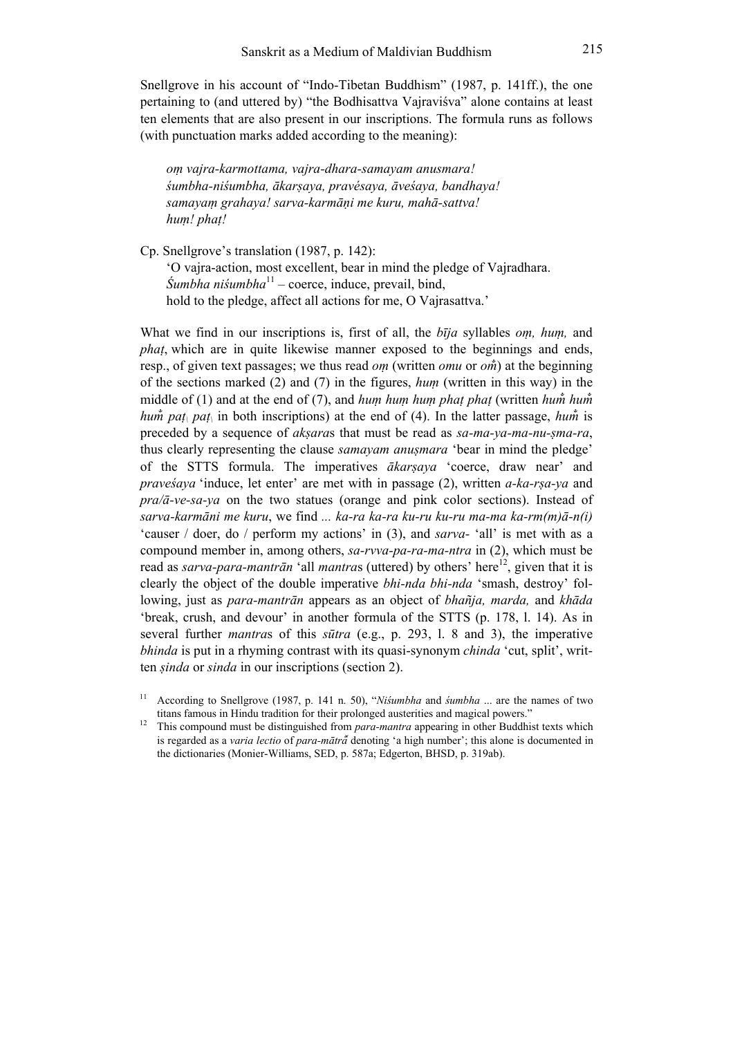Snellgrove in his account of "Indo-Tibetan Buddhism" (1987, p. 141ff.), the one pertaining to (and uttered by) "the Bodhisattva Vajraviśva" alone contains at least ten elements that are also present in our inscriptions. The formula runs as follows (with punctuation marks added according to the meaning):

*oṃ vajra-karmottama, vajra-dhara-samayam anusmara! śumbha-niśumbha, ākarṣaya, pravésaya, āveśaya, bandhaya! samayaṃ grahaya! sarva-karmāṇi me kuru, mahā-sattva! huṃ! phaṭ!*

Cp. Snellgrove's translation (1987, p. 142): 'O vajra-action, most excellent, bear in mind the pledge of Vajradhara. *Śumbha niśumbha*<sup>11</sup> – coerce, induce, prevail, bind,

hold to the pledge, affect all actions for me, O Vajrasattva.'

What we find in our inscriptions is, first of all, the *bīja* syllables *oṃ, huṃ,* and *phaṭ*, which are in quite likewise manner exposed to the beginnings and ends, resp., of given text passages; we thus read *oṃ* (written *omu* or *om̐*) at the beginning of the sections marked (2) and (7) in the figures, *huṃ* (written in this way) in the middle of (1) and at the end of (7), and *hum hum hum phat phat* (written *hum*<sup>*hum*<sup>*n*</sup></sup> *hum<sup>* $\dot{m}$ *</sup> pat<sub>\</sub>* pat<sub>\</sub> in both inscriptions) at the end of (4). In the latter passage, *hum*<sup> $\dot{m}$ </sup> is preceded by a sequence of *akṣara*s that must be read as *sa-ma-ya-ma-nu-ṣma-ra*, thus clearly representing the clause *samayam anuṣmara* 'bear in mind the pledge' of the STTS formula. The imperatives *ākarṣaya* 'coerce, draw near' and *praveśaya* 'induce, let enter' are met with in passage (2), written *a-ka-rṣa-ya* and *pra/ā-ve-sa-ya* on the two statues (orange and pink color sections). Instead of *sarva-karmāni me kuru*, we find *... ka-ra ka-ra ku-ru ku-ru ma-ma ka-rm(m)ā-n(i)* 'causer / doer, do / perform my actions' in (3), and *sarva-* 'all' is met with as a compound member in, among others, *sa-rvva-pa-ra-ma-ntra* in (2), which must be read as *sarva-para-mantrān* 'all *mantras* (uttered) by others' here<sup>12</sup>, given that it is clearly the object of the double imperative *bhi-nda bhi-nda* 'smash, destroy' following, just as *para-mantrān* appears as an object of *bhañja, marda,* and *khāda* 'break, crush, and devour' in another formula of the STTS (p. 178, l. 14). As in several further *mantra*s of this *sūtra* (e.g., p. 293, l. 8 and 3), the imperative *bhinda* is put in a rhyming contrast with its quasi-synonym *chinda* 'cut, split', written *ṣinda* or *sinda* in our inscriptions (section 2).

<sup>11</sup> According to Snellgrove (1987, p. 141 n. 50), "*Niśumbha* and *śumbha* ... are the names of two titans famous in Hindu tradition for their prolonged austerities and magical powers."

<sup>12</sup> This compound must be distinguished from *para-mantra* appearing in other Buddhist texts which is regarded as a *varia lectio* of *para-mātrā̆* denoting 'a high number'; this alone is documented in the dictionaries (Monier-Williams, SED, p. 587a; Edgerton, BHSD, p. 319ab).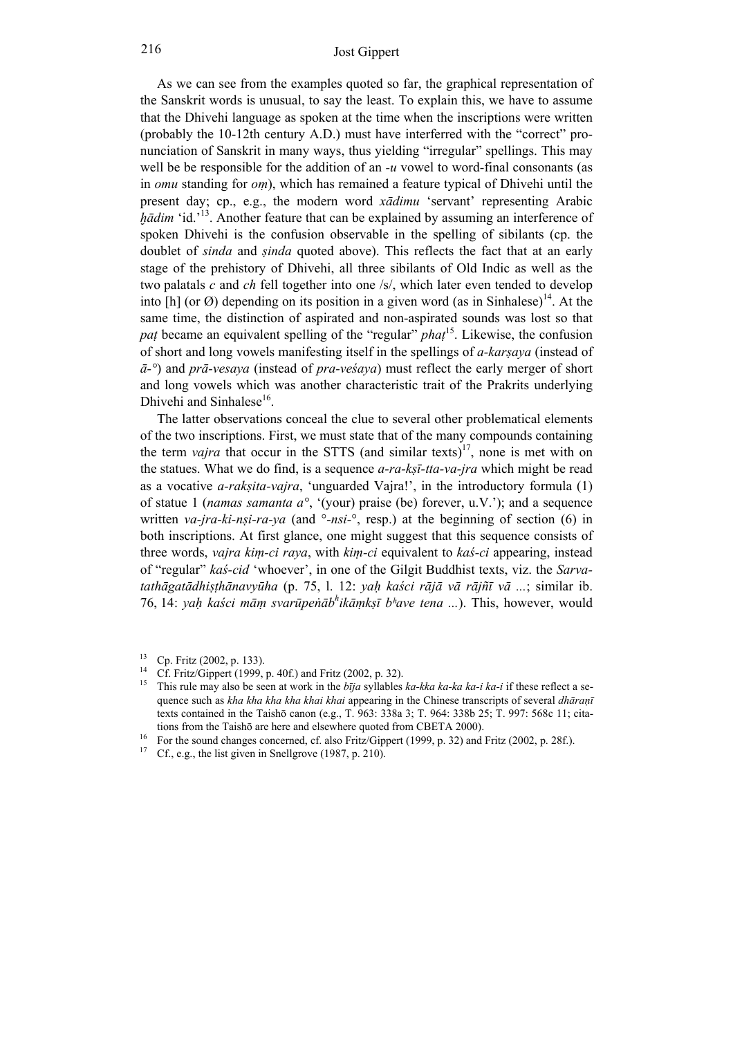As we can see from the examples quoted so far, the graphical representation of the Sanskrit words is unusual, to say the least. To explain this, we have to assume that the Dhivehi language as spoken at the time when the inscriptions were written (probably the 10-12th century A.D.) must have interferred with the "correct" pronunciation of Sanskrit in many ways, thus yielding "irregular" spellings. This may well be be responsible for the addition of an *-u* vowel to word-final consonants (as in *omu* standing for *oṃ*), which has remained a feature typical of Dhivehi until the present day; cp., e.g., the modern word *xādimu* 'servant' representing Arabic *hādim* 'id.'<sup>13</sup>. Another feature that can be explained by assuming an interference of spoken Dhivehi is the confusion observable in the spelling of sibilants (cp. the doublet of *sinda* and *ṣinda* quoted above). This reflects the fact that at an early stage of the prehistory of Dhivehi, all three sibilants of Old Indic as well as the two palatals *c* and *ch* fell together into one /s/, which later even tended to develop into [h] (or  $\emptyset$ ) depending on its position in a given word (as in Sinhalese)<sup>14</sup>. At the same time, the distinction of aspirated and non-aspirated sounds was lost so that *paṭ* became an equivalent spelling of the "regular" *phaṭ* <sup>15</sup>. Likewise, the confusion of short and long vowels manifesting itself in the spellings of *a-karṣaya* (instead of *ā-°*) and *prā-vesaya* (instead of *pra-veśaya*) must reflect the early merger of short and long vowels which was another characteristic trait of the Prakrits underlying Dhivehi and Sinhalese<sup>16</sup>.

 The latter observations conceal the clue to several other problematical elements of the two inscriptions. First, we must state that of the many compounds containing the term *vajra* that occur in the STTS (and similar texts)<sup>17</sup>, none is met with on the statues. What we do find, is a sequence *a-ra-kṣī-tta-va-jra* which might be read as a vocative *a-rakṣita-vajra*, 'unguarded Vajra!', in the introductory formula (1) of statue 1 (*namas samanta a°*, '(your) praise (be) forever, u.V.'); and a sequence written *va-jra-ki-nşi-ra-ya* (and  $\degree$ -*nsi*- $\degree$ , resp.) at the beginning of section (6) in both inscriptions. At first glance, one might suggest that this sequence consists of three words, *vajra kiṃ-ci raya*, with *kiṃ-ci* equivalent to *kaś-ci* appearing, instead of "regular" *kaś-cid* 'whoever', in one of the Gilgit Buddhist texts, viz. the *Sarva*tathāgatādhisthānavyūha (p. 75, l. 12: yah kaści rājā vā rājnī vā ...; similar ib. 76, 14: *yaḥ kaści māṃ svarūpeṅāb h ikāṃkṣī bʰave tena ...*). This, however, would

<sup>13</sup> Cp. Fritz (2002, p. 133).

Cf. Fritz/Gippert (1999, p. 40f.) and Fritz (2002, p. 32).

<sup>15</sup> This rule may also be seen at work in the *bīja* syllables *ka-kka ka-ka ka-i ka-i* if these reflect a sequence such as *kha kha kha kha khai khai* appearing in the Chinese transcripts of several *dhāraṇī* texts contained in the Taishō canon (e.g., T. 963: 338a 3; T. 964: 338b 25; T. 997: 568c 11; citations from the Taishō are here and elsewhere quoted from CBETA 2000).

<sup>&</sup>lt;sup>16</sup> For the sound changes concerned, cf. also Fritz/Gippert (1999, p. 32) and Fritz (2002, p. 28f.).<br><sup>17</sup> Cf. e.g., the list given in Spellgrove (1987, p. 210).

Cf., e.g., the list given in Snellgrove (1987, p. 210).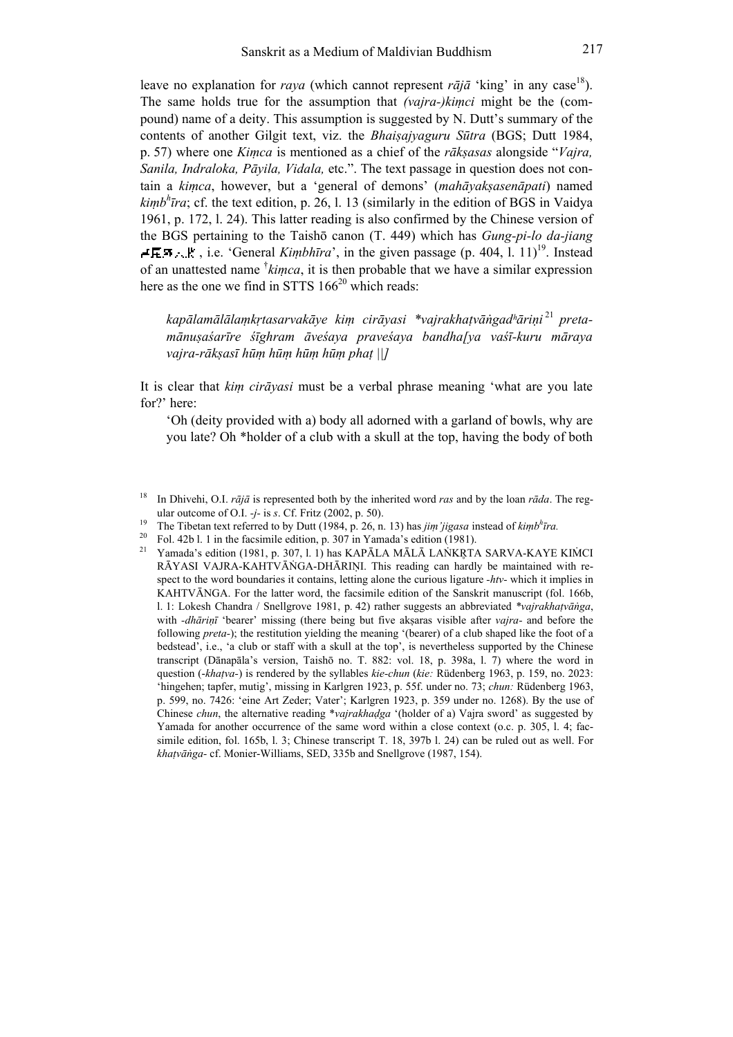leave no explanation for *raya* (which cannot represent  $r\bar{a}j\bar{a}$  'king' in any case<sup>18</sup>). The same holds true for the assumption that *(vajra-)kiṃci* might be the (compound) name of a deity. This assumption is suggested by N. Dutt's summary of the contents of another Gilgit text, viz. the *Bhaiṣajyaguru Sūtra* (BGS; Dutt 1984, p. 57) where one *Kiṃca* is mentioned as a chief of the *rākṣasas* alongside "*Vajra, Sanila, Indraloka, Pāyila, Vidala,* etc.". The text passage in question does not contain a *kiṃca*, however, but a 'general of demons' (*mahāyakṣasenāpati*) named *kiṃb h īra*; cf. the text edition, p. 26, l. 13 (similarly in the edition of BGS in Vaidya 1961, p. 172, l. 24). This latter reading is also confirmed by the Chinese version of the BGS pertaining to the Taishō canon (T. 449) which has *Gung-pi-lo da-jiang*   $\neq$ **E.F**<sub>1</sub>, **i.e.** 'General *Kimbhīra*', in the given passage (p. 404, l. 11)<sup>19</sup>. Instead of an unattested name † *kiṃca*, it is then probable that we have a similar expression here as the one we find in STTS  $166^{20}$  which reads:

kapālamālālaṃkṛtasarvakāye kiṃ cirāyasi \*vajrakhaṭvāṅgadʰāriṇi<sup>21</sup> preta*mānuṣaśarīre śīghram āveśaya praveśaya bandha[ya vaśī-kuru māraya vajra-rākṣasī hūṃ hūṃ hūṃ hūṃ phaṭ ||]*

It is clear that *kiṃ cirāyasi* must be a verbal phrase meaning 'what are you late for?' here:

'Oh (deity provided with a) body all adorned with a garland of bowls, why are you late? Oh \*holder of a club with a skull at the top, having the body of both

<sup>18</sup> In Dhivehi, O.I. *rājā* is represented both by the inherited word *ras* and by the loan *rāda*. The regular outcome of O.I. *-j-* is *s*. Cf. Fritz (2002, p. 50).

<sup>19</sup> The Tibetan text referred to by Dutt (1984, p. 26, n. 13) has *jiṃ'jigasa* instead of *kiṃb h īra.*

<sup>&</sup>lt;sup>20</sup> Fol. 42b l. 1 in the facsimile edition, p. 307 in Yamada's edition (1981).

Yamada's edition (1981, p. 307, l. 1) has KAPĀLA MĀLĀ LAŇKRTA SARVA-KAYE KIMCI RĀYASI VAJRA-KAHTVĀNGA-DHĀRIŅI. This reading can hardly be maintained with respect to the word boundaries it contains, letting alone the curious ligature *-htv-* which it implies in KAHTVĀNGA. For the latter word, the facsimile edition of the Sanskrit manuscript (fol. 166b, l. 1: Lokesh Chandra / Snellgrove 1981, p. 42) rather suggests an abbreviated *\*vajrakhaṭvāṅga*, with *-dhāriṇī* 'bearer' missing (there being but five akṣaras visible after *vajra-* and before the following *preta-*); the restitution yielding the meaning '(bearer) of a club shaped like the foot of a bedstead', i.e., 'a club or staff with a skull at the top', is nevertheless supported by the Chinese transcript (Dānapāla's version, Taishō no. T. 882: vol. 18, p. 398a, l. 7) where the word in question (-*khaṭva-*) is rendered by the syllables *kie-chun* (*kie:* Rüdenberg 1963, p. 159, no. 2023: 'hingehen; tapfer, mutig', missing in Karlgren 1923, p. 55f. under no. 73; *chun:* Rüdenberg 1963, p. 599, no. 7426: 'eine Art Zeder; Vater'; Karlgren 1923, p. 359 under no. 1268). By the use of Chinese *chun*, the alternative reading \**vajrakhaḍga* '(holder of a) Vajra sword' as suggested by Yamada for another occurrence of the same word within a close context (o.c. p. 305, l. 4; facsimile edition, fol. 165b, l. 3; Chinese transcript T. 18, 397b l. 24) can be ruled out as well. For *khaṭvāṅga-* cf. Monier-Williams, SED, 335b and Snellgrove (1987, 154).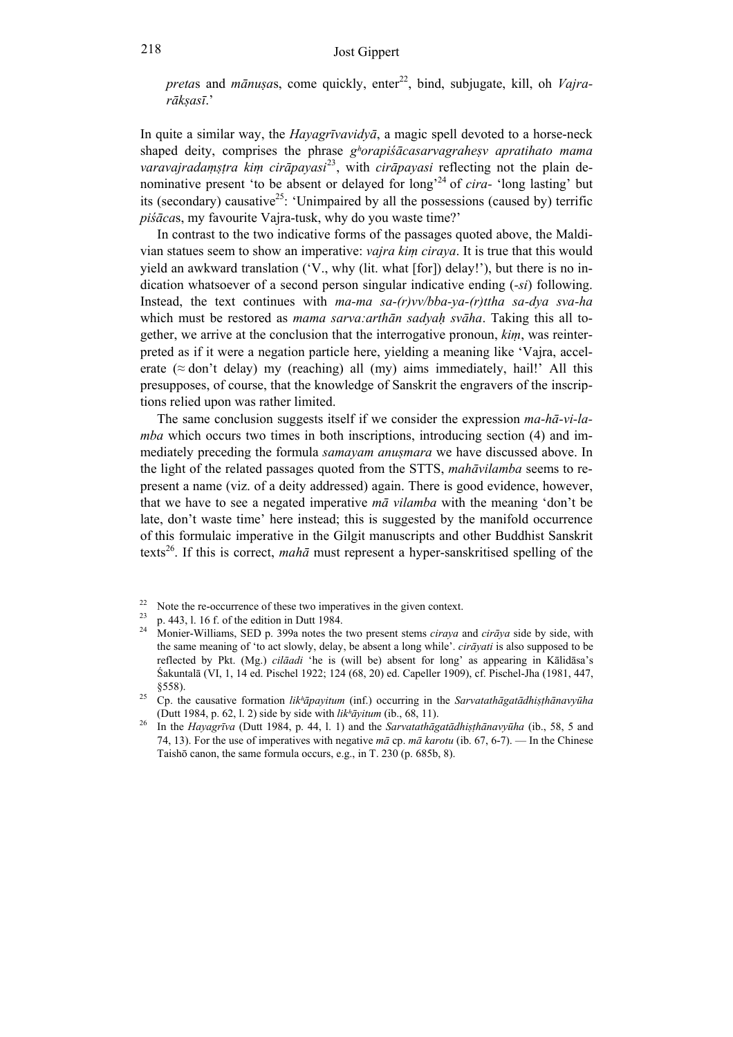*pretas* and *mānusas*, come quickly, enter<sup>22</sup>, bind, subjugate, kill, oh *Vajrarākṣasī*.'

In quite a similar way, the *Hayagrīvavidyā*, a magic spell devoted to a horse-neck shaped deity, comprises the phrase *gʰorapiśācasarvagraheṣv apratihato mama varavajradaṃṣṭra kiṃ cirāpayasi*<sup>23</sup>, with *cirāpayasi* reflecting not the plain denominative present 'to be absent or delayed for long'<sup>24</sup> of *cira-* 'long lasting' but its (secondary) causative<sup>25</sup>: 'Unimpaired by all the possessions (caused by) terrific *piśāca*s, my favourite Vajra-tusk, why do you waste time?'

 In contrast to the two indicative forms of the passages quoted above, the Maldivian statues seem to show an imperative: *vajra kiṃ ciraya*. It is true that this would yield an awkward translation ('V., why (lit. what [for]) delay!'), but there is no indication whatsoever of a second person singular indicative ending (*-si*) following. Instead, the text continues with *ma-ma sa-(r)vv/bba-ya-(r)ttha sa-dya sva-ha* which must be restored as *mama sarva:arthān sadyaḥ svāha*. Taking this all together, we arrive at the conclusion that the interrogative pronoun, *kiṃ*, was reinterpreted as if it were a negation particle here, yielding a meaning like 'Vajra, accelerate ( $\approx$  don't delay) my (reaching) all (my) aims immediately, hail!' All this presupposes, of course, that the knowledge of Sanskrit the engravers of the inscriptions relied upon was rather limited.

 The same conclusion suggests itself if we consider the expression *ma-hā-vi-lamba* which occurs two times in both inscriptions, introducing section (4) and immediately preceding the formula *samayam anuṣmara* we have discussed above. In the light of the related passages quoted from the STTS, *mahāvilamba* seems to represent a name (viz. of a deity addressed) again. There is good evidence, however, that we have to see a negated imperative *mā vilamba* with the meaning 'don't be late, don't waste time' here instead; this is suggested by the manifold occurrence of this formulaic imperative in the Gilgit manuscripts and other Buddhist Sanskrit texts<sup>26</sup>. If this is correct, *mahā* must represent a hyper-sanskritised spelling of the

<sup>&</sup>lt;sup>22</sup> Note the re-occurrence of these two imperatives in the given context.

 $^{23}$  p. 443, l. 16 f. of the edition in Dutt 1984.

<sup>24</sup> Monier-Williams, SED p. 399a notes the two present stems *ciraya* and *cirāya* side by side, with the same meaning of 'to act slowly, delay, be absent a long while'. *cirāyati* is also supposed to be reflected by Pkt. (Mg.) *cilāadi* 'he is (will be) absent for long' as appearing in Kālidāsa's Śakuntalā (VI, 1, 14 ed. Pischel 1922; 124 (68, 20) ed. Capeller 1909), cf. Pischel-Jha (1981, 447, §558).

<sup>25</sup> Cp. the causative formation *likʰāpayitum* (inf.) occurring in the *Sarvatathāgatādhiṣṭhānavyūha* (Dutt 1984, p. 62, l. 2) side by side with *likʰāyitum* (ib., 68, 11).

<sup>26</sup> In the *Hayagrīva* (Dutt 1984, p. 44, l. 1) and the *Sarvatathāgatādhiṣṭhānavyūha* (ib., 58, 5 and 74, 13). For the use of imperatives with negative *mā* cp. *mā karotu* (ib. 67, 6-7). — In the Chinese Taishō canon, the same formula occurs, e.g., in T. 230 (p. 685b, 8).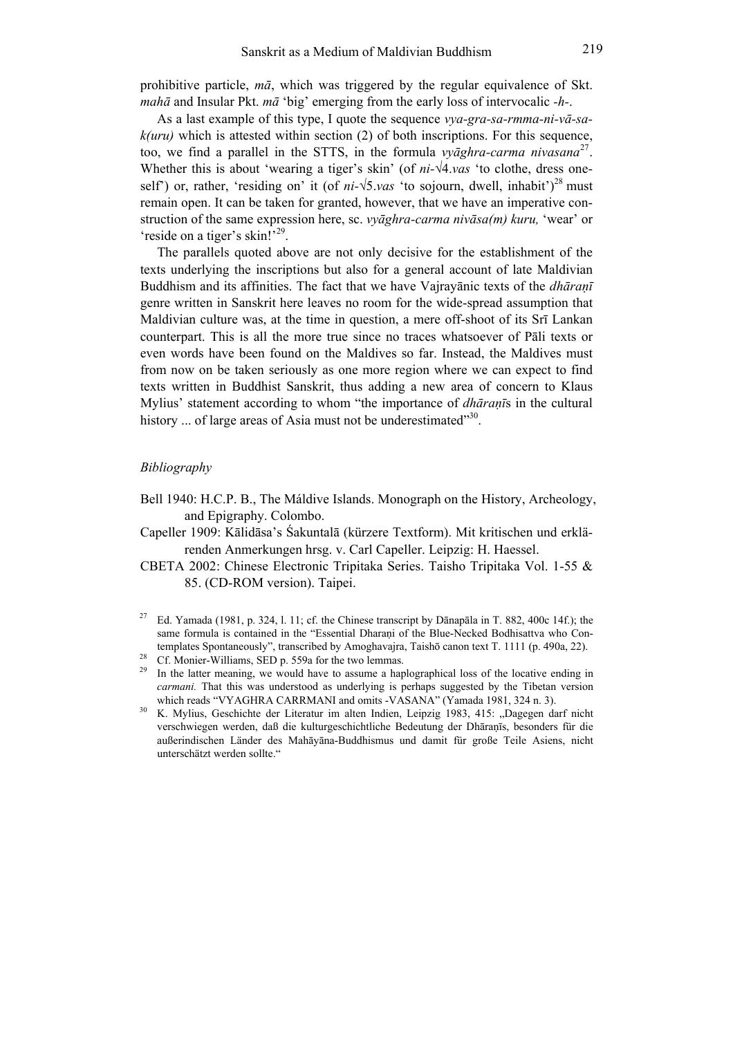prohibitive particle, *mā*, which was triggered by the regular equivalence of Skt. *mahā* and Insular Pkt. *mā* 'big' emerging from the early loss of intervocalic *-h-*.

 As a last example of this type, I quote the sequence *vya-gra-sa-rmma-ni-vā-sak(uru)* which is attested within section (2) of both inscriptions. For this sequence, too, we find a parallel in the STTS, in the formula *vyāghra-carma nivasana*<sup>27</sup>. Whether this is about 'wearing a tiger's skin' (of *ni-√*4.*vas* 'to clothe, dress oneself') or, rather, 'residing on' it (of  $ni-\sqrt{5}$ , *vas* 'to sojourn, dwell, inhabit')<sup>28</sup> must remain open. It can be taken for granted, however, that we have an imperative construction of the same expression here, sc. *vyāghra-carma nivāsa(m) kuru,* 'wear' or 'reside on a tiger's skin!'<sup>29</sup>.

 The parallels quoted above are not only decisive for the establishment of the texts underlying the inscriptions but also for a general account of late Maldivian Buddhism and its affinities. The fact that we have Vajrayānic texts of the *dhāraṇī* genre written in Sanskrit here leaves no room for the wide-spread assumption that Maldivian culture was, at the time in question, a mere off-shoot of its Srī Lankan counterpart. This is all the more true since no traces whatsoever of Pāli texts or even words have been found on the Maldives so far. Instead, the Maldives must from now on be taken seriously as one more region where we can expect to find texts written in Buddhist Sanskrit, thus adding a new area of concern to Klaus Mylius' statement according to whom "the importance of *dhāraṇī*s in the cultural history ... of large areas of Asia must not be underestimated"<sup>30</sup>.

#### *Bibliography*

- Bell 1940: H.C.P. B., The Máldive Islands. Monograph on the History, Archeology, and Epigraphy. Colombo.
- Capeller 1909: Kālidāsa's Śakuntalā (kürzere Textform). Mit kritischen und erklärenden Anmerkungen hrsg. v. Carl Capeller. Leipzig: H. Haessel.
- CBETA 2002: Chinese Electronic Tripitaka Series. Taisho Tripitaka Vol. 1-55 & 85. (CD-ROM version). Taipei.
- <sup>27</sup> Ed. Yamada (1981, p. 324, l. 11; cf. the Chinese transcript by Dānapāla in T. 882, 400c 14f.); the same formula is contained in the "Essential Dharani of the Blue-Necked Bodhisattva who Contemplates Spontaneously", transcribed by Amoghavajra, Taishō canon text T. 1111 (p. 490a, 22).

- <sup>29</sup> In the latter meaning, we would have to assume a haplographical loss of the locative ending in *carmani*. That this was understood as underlying is perhaps suggested by the Tibetan version which reads "VYAGHRA CARRMANI and omits -VASANA" (Yamada 1981, 324 n. 3).
- <sup>30</sup> K. Mylius, Geschichte der Literatur im alten Indien, Leipzig 1983, 415: "Dagegen darf nicht verschwiegen werden, daß die kulturgeschichtliche Bedeutung der Dhāraṇīs, besonders für die außerindischen Länder des Mahāyāna-Buddhismus und damit für große Teile Asiens, nicht unterschätzt werden sollte."

<sup>&</sup>lt;sup>28</sup> Cf. Monier-Williams, SED p. 559a for the two lemmas.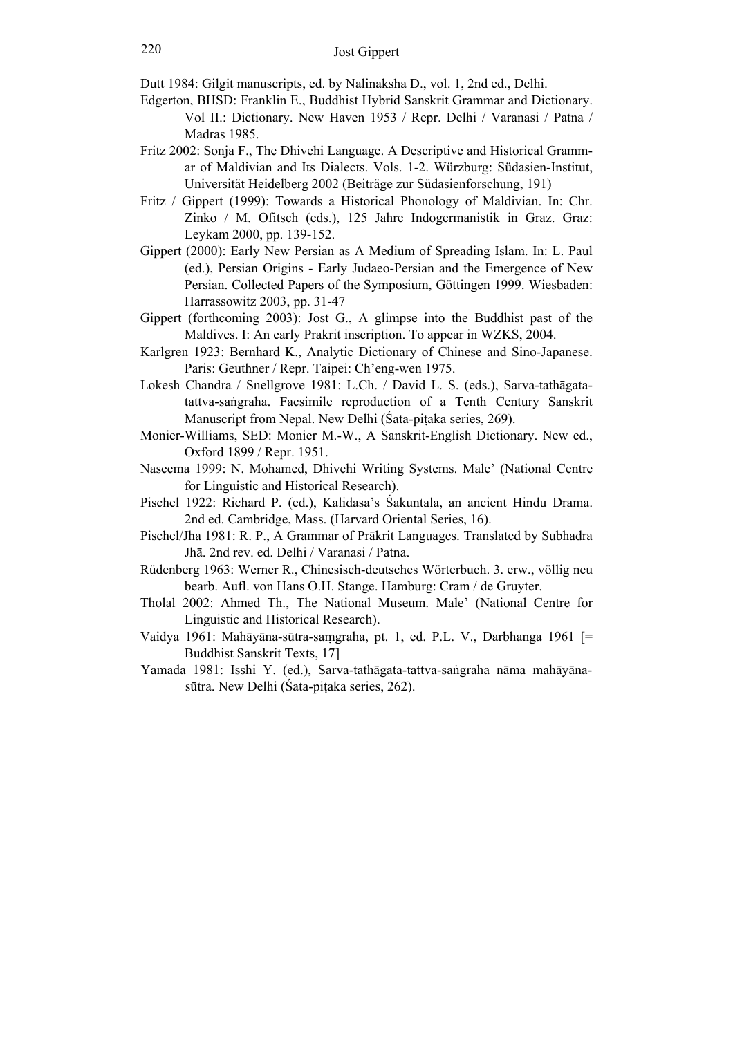Dutt 1984: Gilgit manuscripts, ed. by Nalinaksha D., vol. 1, 2nd ed., Delhi.

- Edgerton, BHSD: Franklin E., Buddhist Hybrid Sanskrit Grammar and Dictionary. Vol II.: Dictionary. New Haven 1953 / Repr. Delhi / Varanasi / Patna / Madras 1985.
- Fritz 2002: Sonja F., The Dhivehi Language. A Descriptive and Historical Grammar of Maldivian and Its Dialects. Vols. 1-2. Würzburg: Südasien-Institut, Universität Heidelberg 2002 (Beiträge zur Südasienforschung, 191)
- Fritz / Gippert (1999): Towards a Historical Phonology of Maldivian. In: Chr. Zinko / M. Ofitsch (eds.), 125 Jahre Indogermanistik in Graz. Graz: Leykam 2000, pp. 139-152.
- Gippert (2000): Early New Persian as A Medium of Spreading Islam. In: L. Paul (ed.), Persian Origins - Early Judaeo-Persian and the Emergence of New Persian. Collected Papers of the Symposium, Göttingen 1999. Wiesbaden: Harrassowitz 2003, pp. 31-47
- Gippert (forthcoming 2003): Jost G., A glimpse into the Buddhist past of the Maldives. I: An early Prakrit inscription. To appear in WZKS, 2004.
- Karlgren 1923: Bernhard K., Analytic Dictionary of Chinese and Sino-Japanese. Paris: Geuthner / Repr. Taipei: Ch'eng-wen 1975.
- Lokesh Chandra / Snellgrove 1981: L.Ch. / David L. S. (eds.), Sarva-tathāgatatattva-saṅgraha. Facsimile reproduction of a Tenth Century Sanskrit Manuscript from Nepal. New Delhi (Śata-pitaka series, 269).
- Monier-Williams, SED: Monier M.-W., A Sanskrit-English Dictionary. New ed., Oxford 1899 / Repr. 1951.
- Naseema 1999: N. Mohamed, Dhivehi Writing Systems. Male' (National Centre for Linguistic and Historical Research).
- Pischel 1922: Richard P. (ed.), Kalidasa's Śakuntala, an ancient Hindu Drama. 2nd ed. Cambridge, Mass. (Harvard Oriental Series, 16).
- Pischel/Jha 1981: R. P., A Grammar of Prākrit Languages. Translated by Subhadra Jhā. 2nd rev. ed. Delhi / Varanasi / Patna.
- Rüdenberg 1963: Werner R., Chinesisch-deutsches Wörterbuch. 3. erw., völlig neu bearb. Aufl. von Hans O.H. Stange. Hamburg: Cram / de Gruyter.
- Tholal 2002: Ahmed Th., The National Museum. Male' (National Centre for Linguistic and Historical Research).
- Vaidya 1961: Mahāyāna-sūtra-saṃgraha, pt. 1, ed. P.L. V., Darbhanga 1961 [= Buddhist Sanskrit Texts, 17]
- Yamada 1981: Isshi Y. (ed.), Sarva-tathāgata-tattva-saṅgraha nāma mahāyānasūtra. New Delhi (Śata-piṭaka series, 262).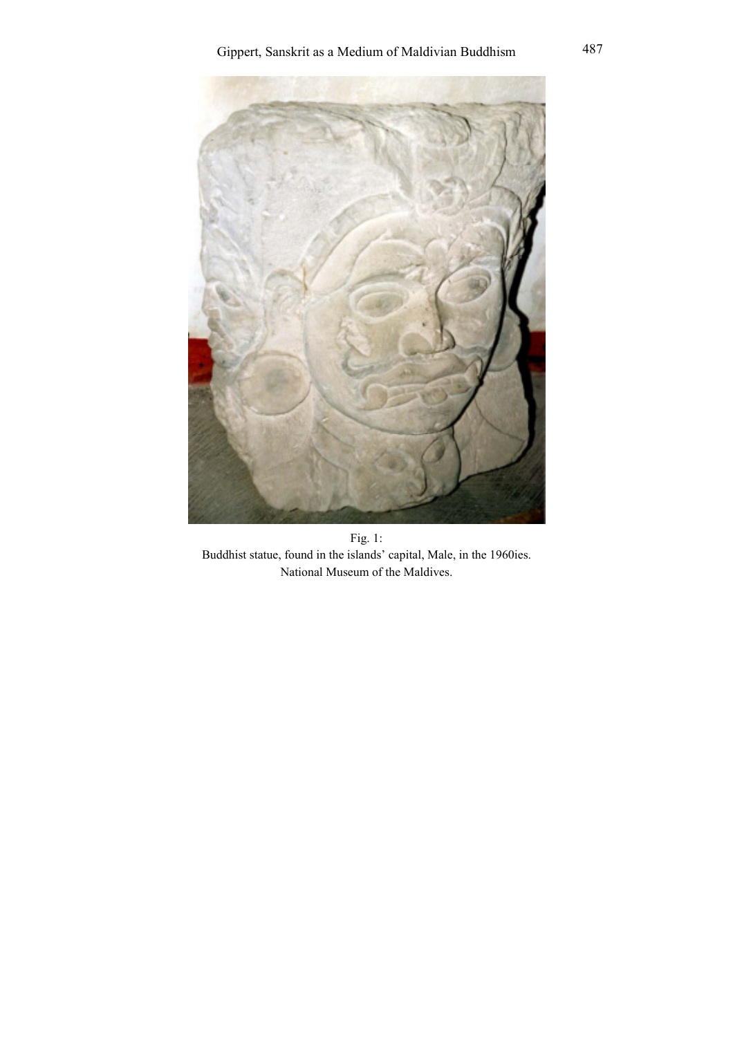

Fig. 1: Buddhist statue, found in the islands' capital, Male, in the 1960ies. National Museum of the Maldives.